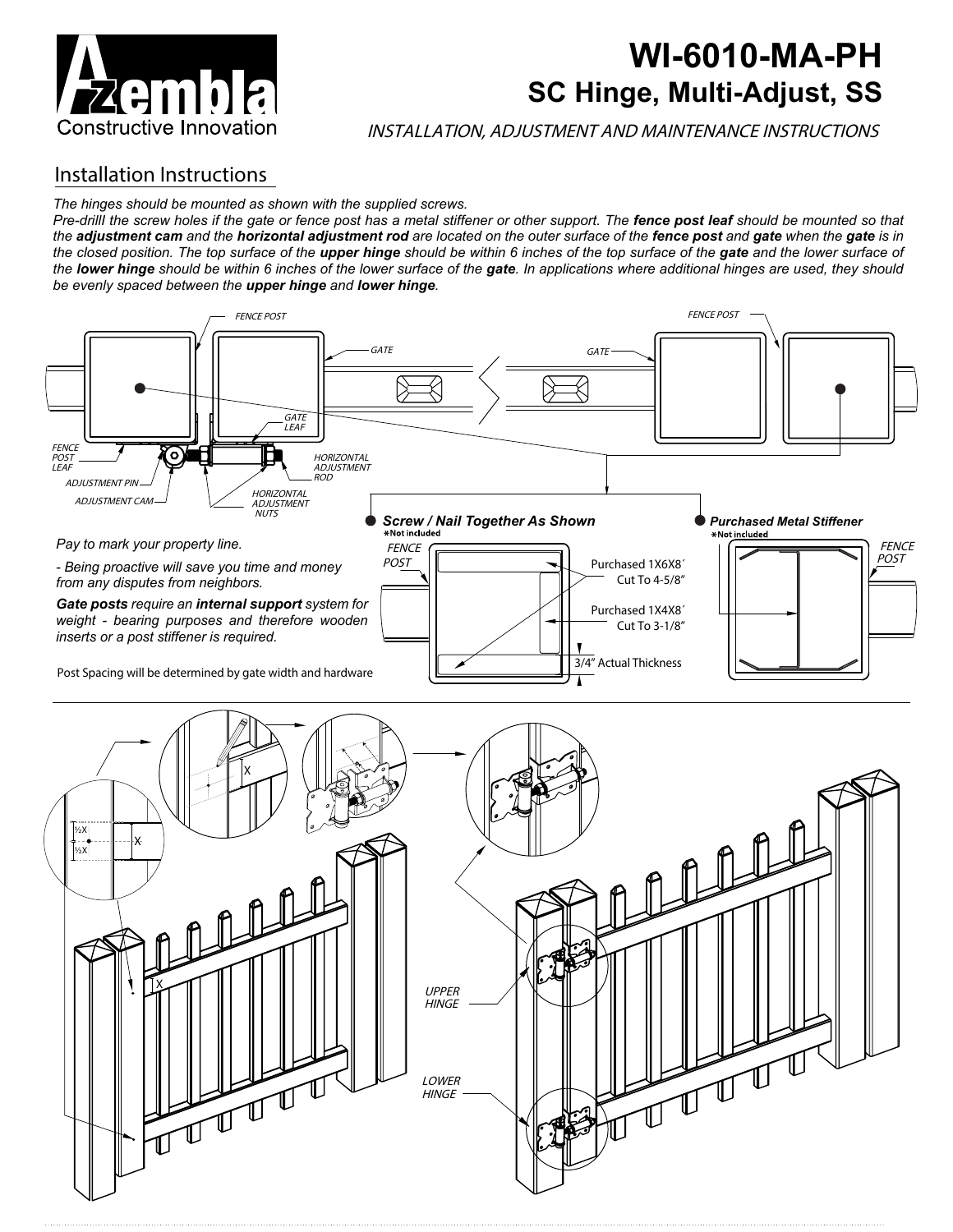

# **WI-6010-MA-PH SC Hinge, Multi-Adjust, SS**

INSTALLATION, ADJUSTMENT AND MAINTENANCE INSTRUCTIONS

### Installation Instructions

#### *The hinges should be mounted as shown with the supplied screws.*

*Pre-drillI the screw holes if the gate or fence post has a metal stiffener or other support. The fence post leaf should be mounted so that the adjustment cam and the horizontal adjustment rod are located on the outer surface of the fence post and gate when the gate is in the closed position. The top surface of the upper hinge should be within 6 inches of the top surface of the gate and the lower surface of*  the **lower hinge** should be within 6 inches of the lower surface of the gate. In applications where additional hinges are used, they should *be evenly spaced between the upper hinge and lower hinge.*



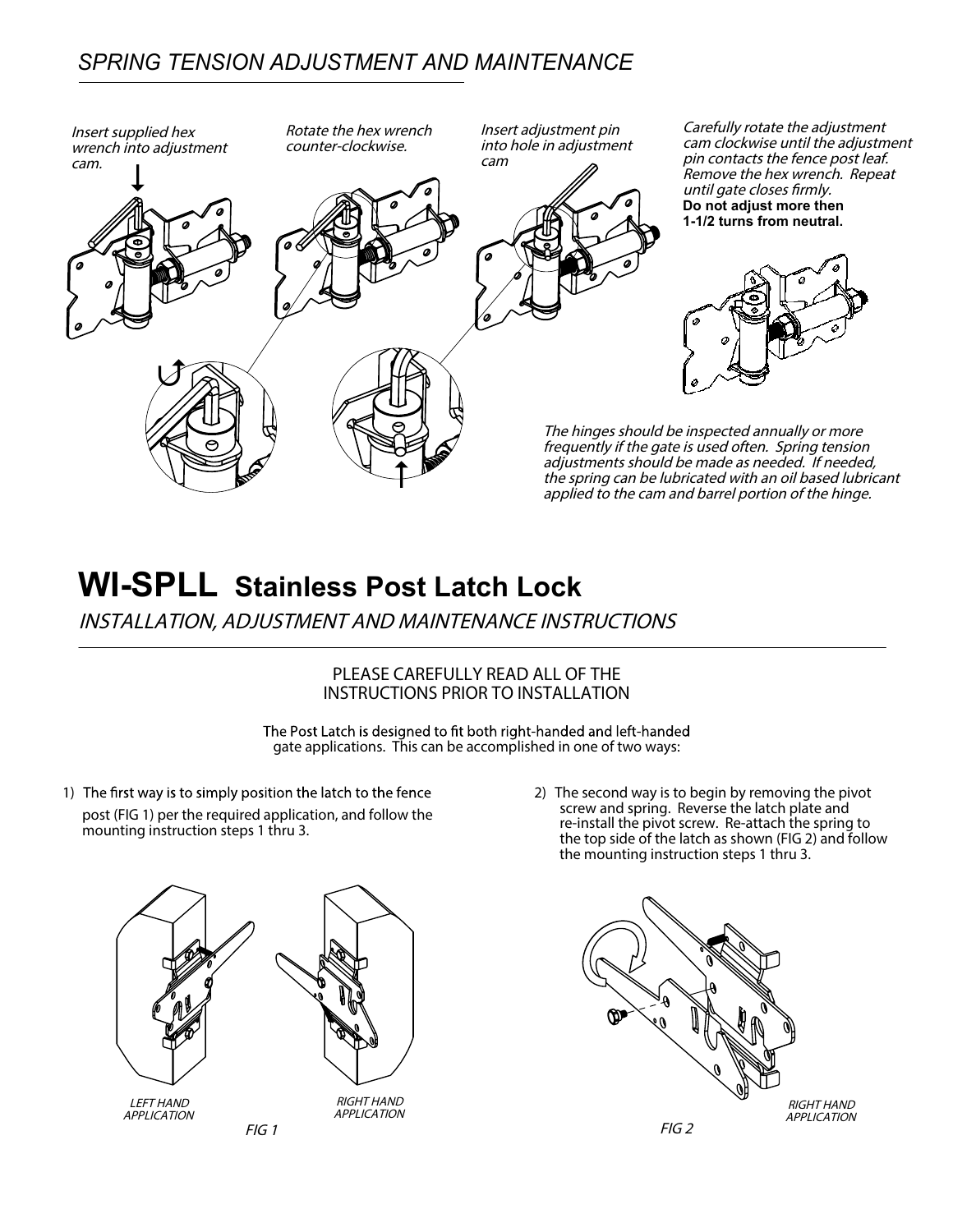### *SPRING TENSION ADJUSTMENT AND MAINTENANCE*



# **WI-SPLL Stainless Post Latch Lock**

INSTALLATION, ADJUSTMENT AND MAINTENANCE INSTRUCTIONS

#### **PLEASE CAREFULLY READ ALL OF THE INSTRUCTIONS PRIOR TO INSTALLATION**

The Post Latch is designed to fit both right-handed and left-handed gate applications. This can be accomplished in one of two ways:

1) The first way is to simply position the latch to the fence post (FIG 1) per the required application, and follow the mounting instruction steps 1 thru 3.



2) The second way is to begin by removing the pivot screw and spring. Reverse the latch plate and re-install the pivot screw. Re-attach the spring to the top side of the latch as shown (FIG 2) and follow the mounting instruction steps 1 thru 3.